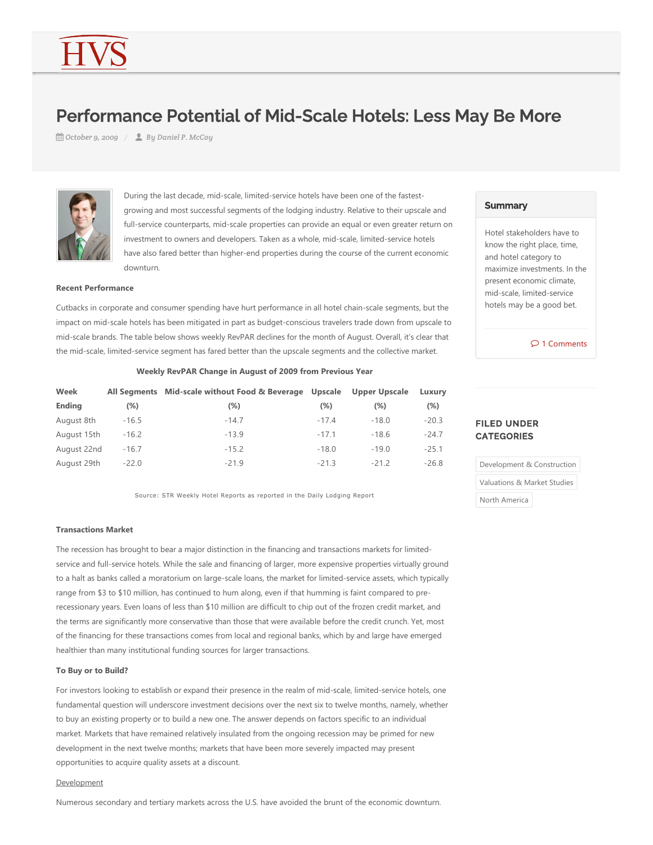# Performance Potential of Mid-Scale Hotels: Less May Be More

*October 9, 2009 By Daniel P. McCoy*



During the last decade, mid-scale, limited-service hotels have been one of the fastestgrowing and most successful segments of the lodging industry. Relative to their upscale and full-service counterparts, mid-scale properties can provide an equal or even greater return on investment to owners and developers. Taken as a whole, mid-scale, limited-service hotels have also fared better than higher-end properties during the course of the current economic downturn.

#### **Recent Performance**

Cutbacks in corporate and consumer spending have hurt performance in all hotel chain‐scale segments, but the impact on mid-scale hotels has been mitigated in part as budget-conscious travelers trade down from upscale to mid‐scale brands. The table below shows weekly RevPAR declines for the month of August. Overall, it's clear that the mid‐scale, limited‐service segment has fared better than the upscale segments and the collective market.

| Weekly RevPAR Change in August of 2009 from Previous Year |  |  |  |  |  |  |
|-----------------------------------------------------------|--|--|--|--|--|--|
|-----------------------------------------------------------|--|--|--|--|--|--|

| Week          |         | All Segments Mid-scale without Food & Beverage Upscale |         | Upper Upscale | Luxury  |
|---------------|---------|--------------------------------------------------------|---------|---------------|---------|
| <b>Ending</b> | (%)     | $(\%)$                                                 | $(\%)$  | (%)           | $(\%)$  |
| August 8th    | $-16.5$ | $-14.7$                                                | $-17.4$ | $-18.0$       | $-20.3$ |
| August 15th   | $-16.2$ | $-13.9$                                                | $-17.1$ | $-18.6$       | $-24.7$ |
| August 22nd   | $-16.7$ | $-15.2$                                                | $-18.0$ | $-19.0$       | $-25.1$ |
| August 29th   | $-22.0$ | $-21.9$                                                | $-21.3$ | $-21.2$       | $-26.8$ |

Source: STR Weekly Hotel Reports as reported in the Daily Lodging Report

#### **Transactions Market**

The recession has brought to bear a major distinction in the financing and transactions markets for limited‐ service and full-service hotels. While the sale and financing of larger, more expensive properties virtually ground to a halt as banks called a moratorium on large-scale loans, the market for limited-service assets, which typically range from \$3 to \$10 million, has continued to hum along, even if that humming is faint compared to prerecessionary years. Even loans of less than \$10 million are difficult to chip out of the frozen credit market, and the terms are significantly more conservative than those that were available before the credit crunch. Yet, most of the financing for these transactions comes from local and regional banks, which by and large have emerged healthier than many institutional funding sources for larger transactions.

#### **To Buy or to Build?**

For investors looking to establish or expand their presence in the realm of mid-scale, limited-service hotels, one fundamental question will underscore investment decisions over the next six to twelve months, namely, whether to buy an existing property or to build a new one. The answer depends on factors specific to an individual market. Markets that have remained relatively insulated from the ongoing recession may be primed for new development in the next twelve months; markets that have been more severely impacted may present opportunities to acquire quality assets at a discount.

#### Development

Numerous secondary and tertiary markets across the U.S. have avoided the brunt of the economic downturn.

#### **Summary**

Hotel stakeholders have to know the right place, time, and hotel category to maximize investments. In the present economic climate, mid‐scale, limited‐service hotels may be a good bet.

1 Comments

## FILED UNDER **CATEGORIES**

Development & Construction

Valuations & Market Studies

North America